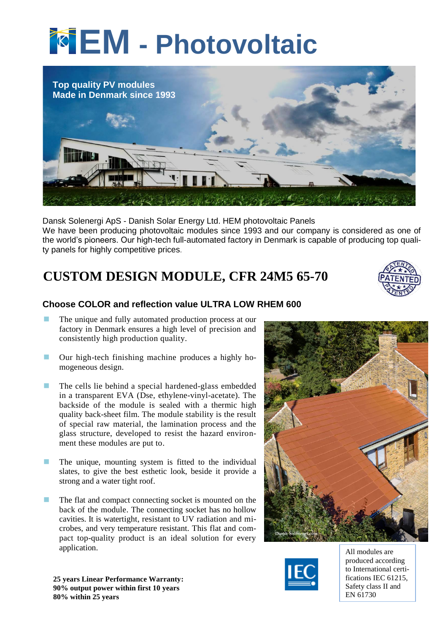# **EM - Photovoltaic**



Dansk Solenergi ApS - Danish Solar Energy Ltd. HEM photovoltaic Panels We have been producing photovoltaic modules since 1993 and our company is considered as one of the world's pioneers. Our high-tech full-automated factory in Denmark is capable of producing top quality panels for highly competitive prices.

# **CUSTOM DESIGN MODULE, CFR 24M5 65-70**



## **Choose COLOR and reflection value ULTRA LOW RHEM 600**

- The unique and fully automated production process at our factory in Denmark ensures a high level of precision and consistently high production quality.
- Our high-tech finishing machine produces a highly homogeneous design.
- $\blacksquare$  The cells lie behind a special hardened-glass embedded in a transparent EVA (Dse, ethylene-vinyl-acetate). The backside of the module is sealed with a thermic high quality back-sheet film. The module stability is the result of special raw material, the lamination process and the glass structure, developed to resist the hazard environment these modules are put to.
- **The unique, mounting system is fitted to the individual** slates, to give the best esthetic look, beside it provide a strong and a water tight roof.
- **The flat and compact connecting socket is mounted on the** back of the module. The connecting socket has no hollow cavities. It is watertight, resistant to UV radiation and microbes, and very temperature resistant. This flat and compact top-quality product is an ideal solution for every application.





produced according to International certifications IEC 61215, Safety class II and EN 61730

**25 years Linear Performance Warranty: 90% output power within first 10 years 80% within 25 years**